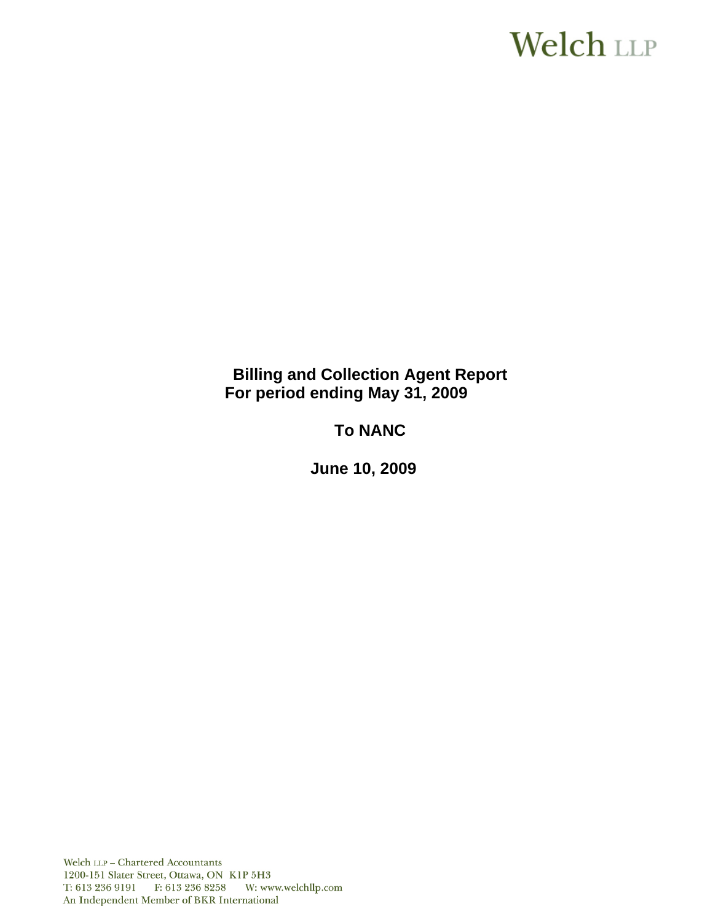# **Welch LLP**

# **Billing and Collection Agent Report For period ending May 31, 2009**

# **To NANC**

 **June 10, 2009**

Welch LLP - Chartered Accountants 1200-151 Slater Street, Ottawa, ON K1P 5H3 T: 613 236 9191 F: 613 236 8258 W: www.welchllp.com An Independent Member of BKR International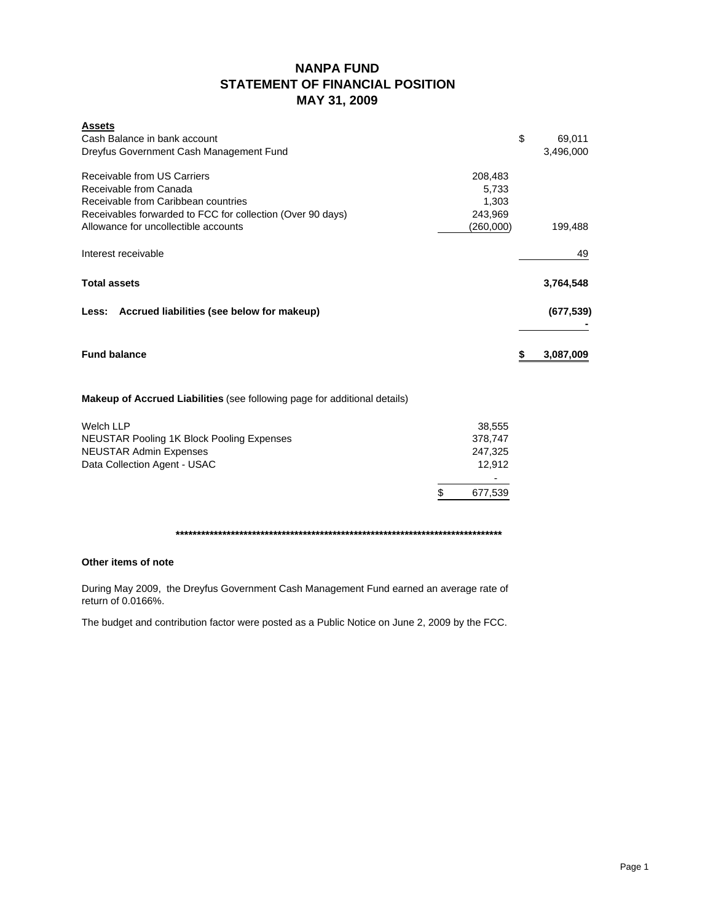# **NANPA FUND STATEMENT OF FINANCIAL POSITION MAY 31, 2009**

| <b>Assets</b><br>Cash Balance in bank account<br>Dreyfus Government Cash Management Fund           |                      | \$<br>69,011<br>3,496,000 |
|----------------------------------------------------------------------------------------------------|----------------------|---------------------------|
| Receivable from US Carriers                                                                        | 208,483              |                           |
| Receivable from Canada<br>Receivable from Caribbean countries                                      | 5,733<br>1,303       |                           |
| Receivables forwarded to FCC for collection (Over 90 days)<br>Allowance for uncollectible accounts | 243,969<br>(260,000) | 199,488                   |
| Interest receivable                                                                                |                      | 49                        |
| <b>Total assets</b>                                                                                |                      | 3,764,548                 |
| Less: Accrued liabilities (see below for makeup)                                                   |                      | (677, 539)                |
| <b>Fund balance</b>                                                                                |                      | \$<br>3,087,009           |
| <b>Makeup of Accrued Liabilities</b> (see following page for additional details)                   |                      |                           |
| <b>Welch LLP</b>                                                                                   | 38,555               |                           |
| <b>NEUSTAR Pooling 1K Block Pooling Expenses</b><br><b>NEUSTAR Admin Expenses</b>                  | 378,747<br>247,325   |                           |
| Data Collection Agent - USAC                                                                       | 12,912               |                           |
|                                                                                                    |                      |                           |
|                                                                                                    | 677,539<br>\$        |                           |

**\*\*\*\*\*\*\*\*\*\*\*\*\*\*\*\*\*\*\*\*\*\*\*\*\*\*\*\*\*\*\*\*\*\*\*\*\*\*\*\*\*\*\*\*\*\*\*\*\*\*\*\*\*\*\*\*\*\*\*\*\*\*\*\*\*\*\*\*\*\*\*\*\*\*\*\*\***

### **Other items of note**

During May 2009, the Dreyfus Government Cash Management Fund earned an average rate of return of 0.0166%.

The budget and contribution factor were posted as a Public Notice on June 2, 2009 by the FCC.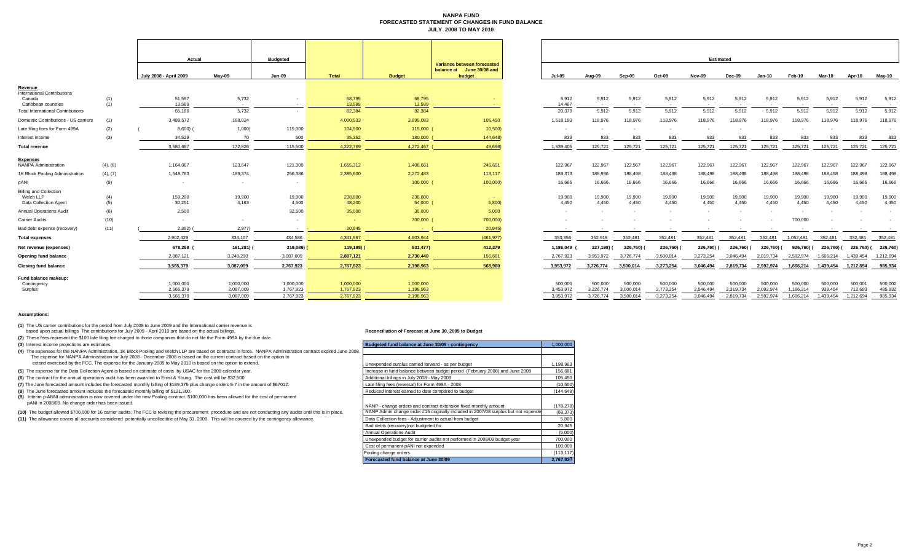#### **NANPA FUND FORECASTED STATEMENT OF CHANGES IN FUND BALANCEJULY 2008 TO MAY 2010**

|                                                              |            | Actual                 |                        | <b>Budgeted</b>        |                        |                        |                          |                      |                                                                    |                           |                          |                      | <b>Estimated</b>     |                      |                      |                    |                    |                     |        |        |
|--------------------------------------------------------------|------------|------------------------|------------------------|------------------------|------------------------|------------------------|--------------------------|----------------------|--------------------------------------------------------------------|---------------------------|--------------------------|----------------------|----------------------|----------------------|----------------------|--------------------|--------------------|---------------------|--------|--------|
|                                                              |            | July 2008 - April 2009 | May-09                 | Jun-09                 |                        |                        | Total                    | <b>Budget</b>        | Variance between forecasted<br>balance at June 30/08 and<br>budget | Jul-09                    | Aug-09                   | Sep-09               | Oct-09               | Nov-09               | Dec-09               | Jan-10             | Feb-10             | Mar-10              | Apr-10 | May-10 |
| Revenue<br><b>International Contributions</b>                |            |                        |                        |                        |                        |                        |                          |                      |                                                                    |                           |                          |                      |                      |                      |                      |                    |                    |                     |        |        |
| Canada<br>Caribbean countries                                | (1)<br>(1) | 51,597<br>13,589       | 5,732<br>$\sim$        | $\sim$                 | 68,795<br>13,589       | 68,795<br>13,589       |                          | 5,912<br>14,467      | 5,912<br>$\sim$                                                    | 5,912<br>$\sim$ 100 $\mu$ | 5,912                    | 5,912<br>$\sim$      | 5,912                | 5,912<br>$\sim$      | 5,912<br>$\sim$      | 5,912              | 5,912              | 5,912<br>$\sim$ $-$ |        |        |
| <b>Total International Contributions</b>                     |            | 65,186                 | 5,732                  |                        | 82,384                 | 82,384                 |                          | 20,379               | 5.912                                                              | 5,912                     | 5,912                    | 5,912                | 5,912                | 5,912                | 5,912                | 5,912              | 5,912              | 5,912               |        |        |
| Domestic Contributions - US carriers                         | (1)        | 3,489,572              | 168,024                |                        | 4,000,533              | 3,895,083              | 105,450                  | 1,518,193            | 118,976                                                            | 118,976                   | 118,976                  | 118,976              | 118,976              | 118,976              | 118,976              | 118,976            | 118,976            | 118,976             |        |        |
| Late filing fees for Form 499A                               | (2)        | 8,600(                 | 1,000                  | 115,000                | 104,500                | 115,000 (              | 10,500                   |                      |                                                                    | $\sim$                    | $\sim$                   |                      | $\sim$               |                      |                      |                    |                    |                     |        |        |
| Interest income                                              | (3)        | 34,529                 | 70                     | 500                    | 35,352                 | 180,000                | 144,648)                 | 833                  | 833                                                                | 833                       | 833                      | 833                  | 833                  | 833                  | 833                  | 833                | 833                | 833                 |        |        |
| <b>Total revenue</b>                                         |            | 3.580.687              | 172,826                | 115,500                | 4,222,769              | 4,272,467              | 49,698)                  | 1,539,405            | 125,721                                                            | 125,721                   | 125,721                  | 125,721              | 125,721              | 125,721              | 125,721              | 125,721            | 125,721            | 125,721             |        |        |
| <b>Expenses</b><br><b>NANPA Administration</b>               | (4), (8)   | 1,164,067              | 123,647                | 121,300                | 1,655,312              | 1,408,661              | 246,651                  | 122,967              | 122,967                                                            | 122,967                   | 122,967                  | 122,967              | 122,967              | 122,967              | 122,967              | 122,967            | 122,967            | 122,967             |        |        |
| 1K Block Pooling Administration                              | (4), (7)   | 1,548,763              | 189,374                | 256,386                | 2,385,600              | 2,272,483              | 113,117                  | 189,373              | 188,936                                                            | 188,498                   | 188,498                  | 188,498              | 188,498              | 188,498              | 188,498              | 188,498            | 188,498            | 188,498             |        |        |
| pANI                                                         | (9)        |                        |                        |                        |                        | $100,000$ (            | 100,000)                 | 16,666               | 16,666                                                             | 16,666                    | 16,666                   | 16,666               | 16,666               | 16,666               | 16,666               | 16,666             | 16,666             | 16,666              |        |        |
| Billing and Collection<br>Welch LLP<br>Data Collection Agent | (4)<br>(5) | 159,200<br>30,251      | 19,900<br>4.163        | 19,900<br>4,500        | 238,800<br>48,200      | 238,800<br>$54,000$ (  | <b>Contract</b><br>5,800 | 19,900<br>4,450      | 19,900<br>4,450                                                    | 19,900<br>4,450           | 19,900<br>4,450          | 19,900<br>4,450      | 19,900<br>4,450      | 19,900<br>4.450      | 19,900<br>4,450      | 19,900<br>4,450    | 19,900<br>4,450    | 19,900<br>4.450     |        |        |
| <b>Annual Operations Audit</b>                               | (6)        | 2,500                  |                        | 32,500                 | 35,000                 | 30,000                 | 5,000                    |                      |                                                                    | $\sim$                    | $\overline{\phantom{a}}$ |                      |                      |                      |                      |                    |                    |                     |        |        |
| Carrier Audits                                               | (10)       | $\sim$                 | $\sim$                 | $\sim$                 | $\sim$                 | 700,000 (              | 700,000)                 |                      |                                                                    |                           |                          | $\sim$               |                      |                      | 700,000              |                    |                    |                     |        |        |
| Bad debt expense (recovery)                                  | (11)       | $2,352$ ) (            | 2,977                  | $\sim$                 | 20,945                 | <b>Carlos</b>          | 20,945                   |                      |                                                                    |                           | $\sim$                   |                      |                      |                      | $\sim$               |                    |                    |                     |        |        |
| <b>Total expenses</b>                                        |            | 2.902.429              | 334.107                | 434.586                | 4.341.967              | 4.803.944              | (461, 977)               | 353.356              | 352.919                                                            | 352.481                   | 352.481                  | 352.481              | 352.481              | 352.481              | 1.052.481            | 352.481            | 352.481            | 352,481             |        |        |
| Net revenue (expenses)                                       |            | 678,258 (              | 161,281) (             | 319,086) (             | 119,198) (             | 531,477)               | 412,279                  | 1,186,049            | 227,198)                                                           | 226,760)                  | 226,760)                 | 226,760)             | 226,760)             | 226,760) (           | 926,760) (           | 226,760) (         | 226,760) (         | 226,760             |        |        |
| <b>Opening fund balance</b>                                  |            | 2,887,121              | 3,248,290              | 3,087,009              | 2,887,121              | 2,730,440              | 156,681                  | 2,767,923            | 3,953,972                                                          | 3,726,774                 | 3,500,014                | 3,273,254            | 3,046,494            | 2,819,734            | 2,592,974            | 1,666,214          | 1,439,454          | 1,212,694           |        |        |
| <b>Closing fund balance</b>                                  |            | 3,565,379              | 3,087,009              | 2,767,923              | 2,767,923              | 2,198,963              | 568,960                  | 3,953,972            | 3,726,774                                                          | 3,500,014                 | 3,273,254                | 3,046,494            | 2,819,734            | 2,592,974            | 1,666,214            | 1,439,454          | 1,212,694          | 985,934             |        |        |
| Fund balance makeup:<br>Contingency<br>Surplus               |            | 1,000,000<br>2,565,379 | 1,000,000<br>2,087,009 | 1,000,000<br>1,767,923 | 1,000,000<br>1,767,923 | 1,000,000<br>1,198,963 |                          | 500,000<br>3,453,972 | 500,000<br>3,226,774                                               | 500,000<br>3,000,014      | 500,000<br>2,773,254     | 500,000<br>2,546,494 | 500,000<br>2,319,734 | 500,000<br>2,092,974 | 500,000<br>1,166,214 | 500,000<br>939.454 | 500,001<br>712,693 | 500,002<br>485,932  |        |        |
|                                                              |            | 3.565.379              | 3,087,009              | 2,767,923              | 2,767,923              | 2,198,963              |                          | 3,953,972            | 3,726,774                                                          | 3,500,014                 | 3.273.254                | 3.046.494            | 2.819.734            | 2.592.974            | 1.666.214            | 1.439.454          | 1.212.694          | 985.934             |        |        |

#### **Assumptions:**

**(1)** The US carrier contributions for the period from July 2008 to June 2009 and the International carrier revenue is

based upon actual billings The contributions for July 2009 - April 2010 are based on the actual billings.

**(2)** These fees represent the \$100 late filing fee charged to those companies that do not file the Form 499A by the due date.

**(3)** Interest income projections are estimates

#### **Reconciliation of Forecast at June 30, 2009 to Budget**

| (3) Interest income projections are estimates                                                                                                                    | Budgeted fund balance at June 30/09 - contingency                                  | 1,000,000  |
|------------------------------------------------------------------------------------------------------------------------------------------------------------------|------------------------------------------------------------------------------------|------------|
| (4) The expenses for the NANPA Administration, 1K Block Pooling and Welch LLP are based on contracts in force. NANPA Administration contract expired June 2008.  |                                                                                    |            |
| The expense for NANPA Administration for July 2008 - December 2008 is based on the current contract based on the option to                                       |                                                                                    |            |
| extend exercised by the FCC. The expense for the January 2009 to May 2010 is based on the option to extend.                                                      | Unexpended surplus carried forward - as per budget                                 | 1,198,963  |
| (5) The expense for the Data Collection Agent is based on estimate of costs by USAC for the 2008 calendar year.                                                  | Increase in fund balance between budget period (February 2008) and June 2008       | 156,681    |
| (6) The contract for the annual operations audit has been awarded to Ernst & Young. The cost will be \$32,500                                                    | Additional billings in July 2008 - May 2009                                        | 105,450    |
| (7) The June forecasted amount includes the forecasted monthly billing of \$189,375 plus change orders 5-7 in the amount of \$67012.                             | Late filing fees (reversal) for Form 499A - 2008                                   | (10, 500)  |
| (8) The June forecasted amount includes the forecasted monthly billing of \$121,300.                                                                             | Reduced interest earned to date compared to budget                                 | (144, 648) |
| (9) Interim p-ANNI administration is now covered under the new Pooling contract. \$100,000 has been allowed for the cost of permanent                            |                                                                                    |            |
| pANI in 2008/09. No change order has been issued.                                                                                                                | NANP - change orders and contract extension fixed monthly amount                   | (178, 278) |
| (10) The budget allowed \$700,000 for 16 carrier audits. The FCC is revising the procurement procedure and are not conducting any audits until this is in place. | NANP Admin change order #15 originally included in 2007/08 surplus but not expende | (68, 373)  |
| (11) The allowance covers all accounts considered potentially uncollectible at May 31, 2009. This will be covered by the contingency allowance.                  | Data Collection fees - Adjustment to actual from budget                            | 5,800      |
|                                                                                                                                                                  | Bad debts (recovery) not budgeted for                                              | 20,945     |
|                                                                                                                                                                  | <b>Annual Operations Audit</b>                                                     | (5,000)    |
|                                                                                                                                                                  | Unexpended budget for carrier audits not performed in 2008/09 budget year          | 700,000    |
|                                                                                                                                                                  | Cost of permanent pANI not expended                                                | 100,000    |
|                                                                                                                                                                  | Pooling change orders                                                              | (113, 117) |
|                                                                                                                                                                  | Forecasted fund balance at June 30/09                                              | 2,767,923  |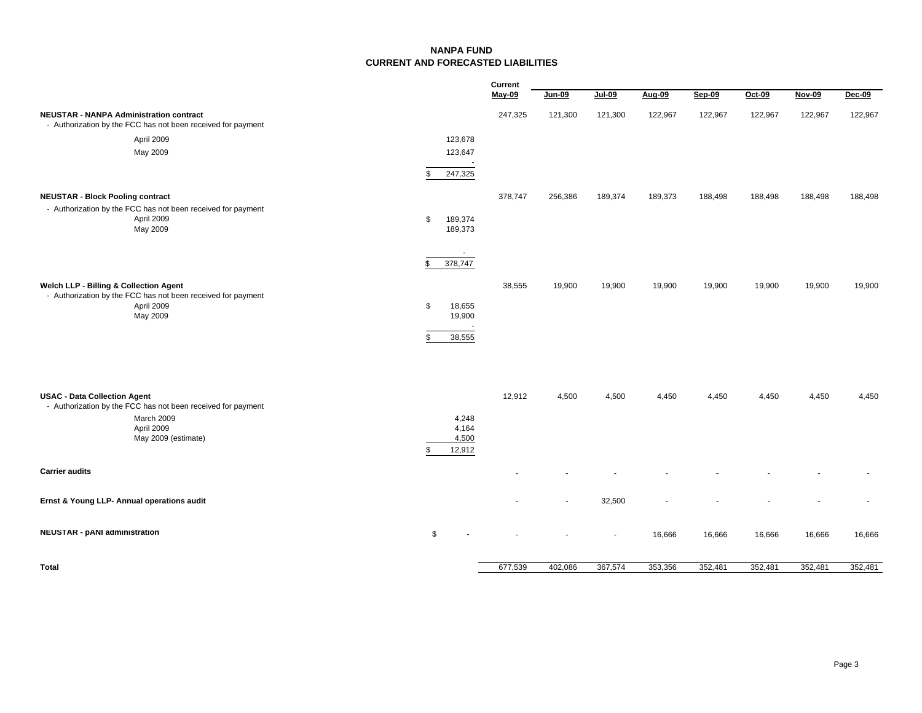### **NANPA FUNDCURRENT AND FORECASTED LIABILITIES**

|                                                                                                                |                          | Current |          |          |               |          |          |               |          |
|----------------------------------------------------------------------------------------------------------------|--------------------------|---------|----------|----------|---------------|----------|----------|---------------|----------|
|                                                                                                                |                          | May-09  | $Jun-09$ | $Jul-09$ | <b>Aug-09</b> | $Sep-09$ | $Oct-09$ | <b>Nov-09</b> | $Dec-09$ |
| <b>NEUSTAR - NANPA Administration contract</b><br>- Authorization by the FCC has not been received for payment |                          | 247,325 | 121,300  | 121,300  | 122,967       | 122,967  | 122,967  | 122,967       | 122,967  |
| April 2009                                                                                                     | 123,678                  |         |          |          |               |          |          |               |          |
| May 2009                                                                                                       | 123,647                  |         |          |          |               |          |          |               |          |
|                                                                                                                | 247,325<br>\$            |         |          |          |               |          |          |               |          |
| <b>NEUSTAR - Block Pooling contract</b>                                                                        |                          | 378,747 | 256,386  | 189,374  | 189,373       | 188,498  | 188,498  | 188,498       | 188,498  |
| - Authorization by the FCC has not been received for payment<br>April 2009<br>May 2009                         | 189,374<br>\$<br>189,373 |         |          |          |               |          |          |               |          |
|                                                                                                                | $\sim$<br>\$<br>378,747  |         |          |          |               |          |          |               |          |
|                                                                                                                |                          |         |          |          |               |          |          |               |          |
| Welch LLP - Billing & Collection Agent<br>- Authorization by the FCC has not been received for payment         |                          | 38,555  | 19,900   | 19,900   | 19,900        | 19,900   | 19,900   | 19,900        | 19,900   |
| April 2009<br>May 2009                                                                                         | \$<br>18,655<br>19,900   |         |          |          |               |          |          |               |          |
|                                                                                                                | ٠.                       |         |          |          |               |          |          |               |          |
|                                                                                                                | 38,555<br>\$             |         |          |          |               |          |          |               |          |
|                                                                                                                |                          |         |          |          |               |          |          |               |          |
| <b>USAC - Data Collection Agent</b><br>- Authorization by the FCC has not been received for payment            |                          | 12,912  | 4,500    | 4,500    | 4,450         | 4,450    | 4,450    | 4,450         | 4,450    |
| March 2009                                                                                                     | 4,248                    |         |          |          |               |          |          |               |          |
| April 2009<br>May 2009 (estimate)                                                                              | 4,164<br>4,500           |         |          |          |               |          |          |               |          |
|                                                                                                                | 12,912<br>\$             |         |          |          |               |          |          |               |          |
| <b>Carrier audits</b>                                                                                          |                          |         |          |          |               |          |          |               |          |
| Ernst & Young LLP- Annual operations audit                                                                     |                          |         |          | 32,500   |               |          |          |               |          |
| <b>NEUSTAR - pANI administration</b>                                                                           | \$                       |         |          | $\sim$   | 16,666        | 16,666   | 16,666   | 16,666        | 16,666   |

**Total** 402,086 677,539 367,574 353,356 352,481 352,481 352,481 352,481